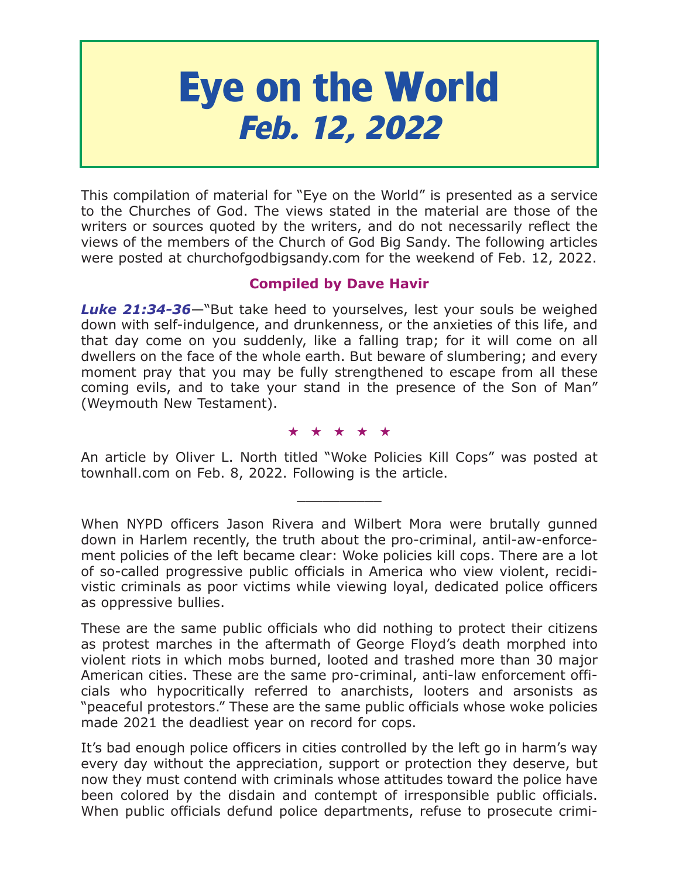# **Eye on the World Feb. 12, 2022**

This compilation of material for "Eye on the World" is presented as a service to the Churches of God. The views stated in the material are those of the writers or sources quoted by the writers, and do not necessarily reflect the views of the members of the Church of God Big Sandy. The following articles were posted at churchofgodbigsandy.com for the weekend of Feb. 12, 2022.

# **Compiled by Dave Havir**

*Luke 21:34-36*—"But take heed to yourselves, lest your souls be weighed down with self-indulgence, and drunkenness, or the anxieties of this life, and that day come on you suddenly, like a falling trap; for it will come on all dwellers on the face of the whole earth. But beware of slumbering; and every moment pray that you may be fully strengthened to escape from all these coming evils, and to take your stand in the presence of the Son of Man" (Weymouth New Testament).

#### ★★★★★

An article by Oliver L. North titled "Woke Policies Kill Cops" was posted at townhall.com on Feb. 8, 2022. Following is the article.

 $\overline{\phantom{a}}$  , where  $\overline{\phantom{a}}$ 

When NYPD officers Jason Rivera and Wilbert Mora were brutally gunned down in Harlem recently, the truth about the pro-criminal, antil-aw-enforcement policies of the left became clear: Woke policies kill cops. There are a lot of so-called progressive public officials in America who view violent, recidivistic criminals as poor victims while viewing loyal, dedicated police officers as oppressive bullies.

These are the same public officials who did nothing to protect their citizens as protest marches in the aftermath of George Floyd's death morphed into violent riots in which mobs burned, looted and trashed more than 30 major American cities. These are the same pro-criminal, anti-law enforcement officials who hypocritically referred to anarchists, looters and arsonists as "peaceful protestors." These are the same public officials whose woke policies made 2021 the deadliest year on record for cops.

It's bad enough police officers in cities controlled by the left go in harm's way every day without the appreciation, support or protection they deserve, but now they must contend with criminals whose attitudes toward the police have been colored by the disdain and contempt of irresponsible public officials. When public officials defund police departments, refuse to prosecute crimi-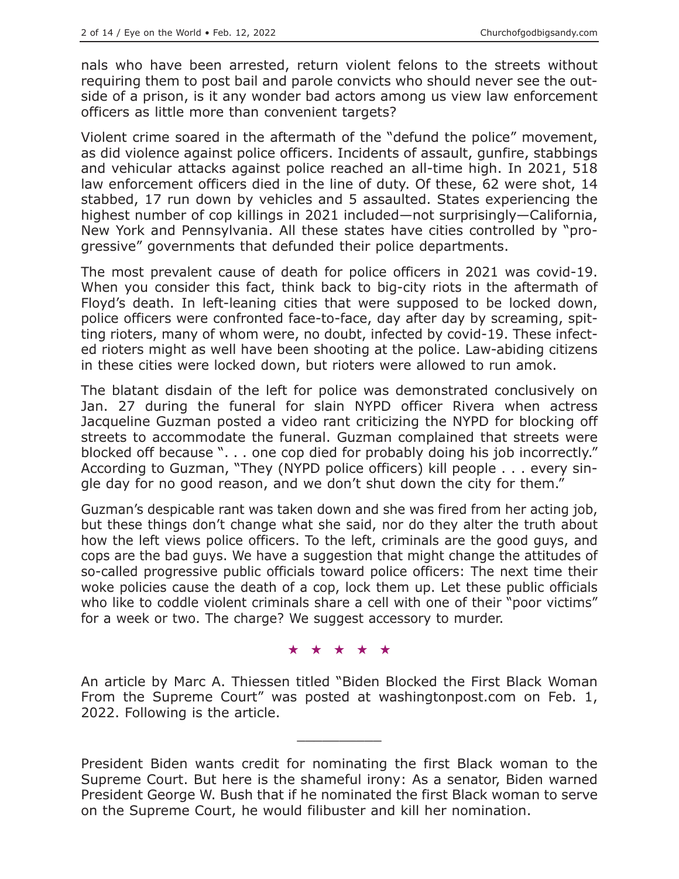nals who have been arrested, return violent felons to the streets without requiring them to post bail and parole convicts who should never see the outside of a prison, is it any wonder bad actors among us view law enforcement officers as little more than convenient targets?

Violent crime soared in the aftermath of the "defund the police" movement, as did violence against police officers. Incidents of assault, gunfire, stabbings and vehicular attacks against police reached an all-time high. In 2021, 518 law enforcement officers died in the line of duty. Of these, 62 were shot, 14 stabbed, 17 run down by vehicles and 5 assaulted. States experiencing the highest number of cop killings in 2021 included—not surprisingly—California, New York and Pennsylvania. All these states have cities controlled by "progressive" governments that defunded their police departments.

The most prevalent cause of death for police officers in 2021 was covid-19. When you consider this fact, think back to big-city riots in the aftermath of Floyd's death. In left-leaning cities that were supposed to be locked down, police officers were confronted face-to-face, day after day by screaming, spitting rioters, many of whom were, no doubt, infected by covid-19. These infected rioters might as well have been shooting at the police. Law-abiding citizens in these cities were locked down, but rioters were allowed to run amok.

The blatant disdain of the left for police was demonstrated conclusively on Jan. 27 during the funeral for slain NYPD officer Rivera when actress Jacqueline Guzman posted a video rant criticizing the NYPD for blocking off streets to accommodate the funeral. Guzman complained that streets were blocked off because ". . . one cop died for probably doing his job incorrectly." According to Guzman, "They (NYPD police officers) kill people . . . every single day for no good reason, and we don't shut down the city for them."

Guzman's despicable rant was taken down and she was fired from her acting job, but these things don't change what she said, nor do they alter the truth about how the left views police officers. To the left, criminals are the good guys, and cops are the bad guys. We have a suggestion that might change the attitudes of so-called progressive public officials toward police officers: The next time their woke policies cause the death of a cop, lock them up. Let these public officials who like to coddle violent criminals share a cell with one of their "poor victims" for a week or two. The charge? We suggest accessory to murder.

#### ★★★★★

An article by Marc A. Thiessen titled "Biden Blocked the First Black Woman From the Supreme Court" was posted at washingtonpost.com on Feb. 1, 2022. Following is the article.

 $\overline{\phantom{a}}$  , where  $\overline{\phantom{a}}$ 

President Biden wants credit for nominating the first Black woman to the Supreme Court. But here is the shameful irony: As a senator, Biden warned President George W. Bush that if he nominated the first Black woman to serve on the Supreme Court, he would filibuster and kill her nomination.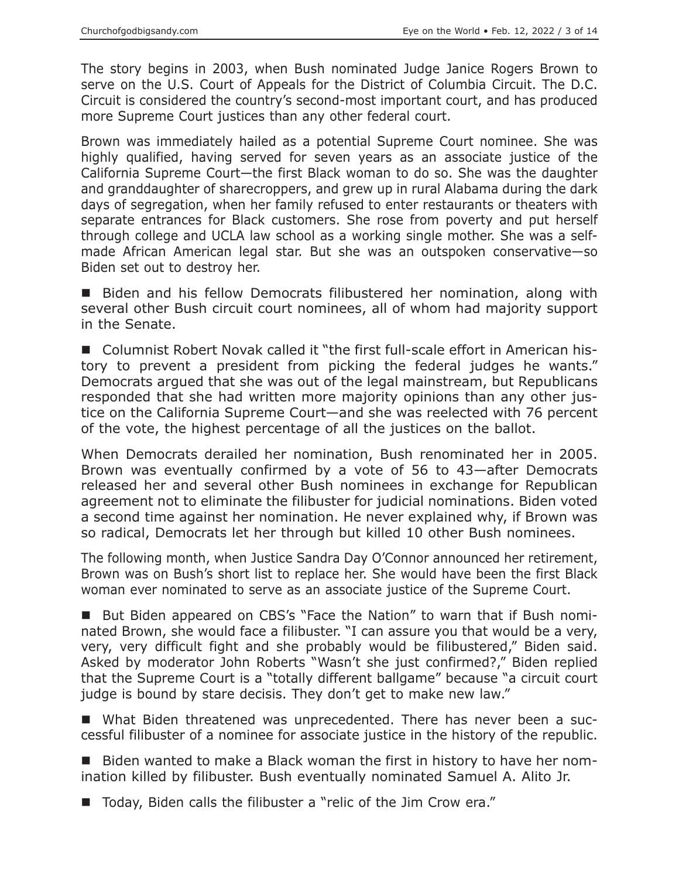The story begins in 2003, when Bush nominated Judge Janice Rogers Brown to serve on the U.S. Court of Appeals for the District of Columbia Circuit. The D.C. Circuit is considered the country's second-most important court, and has produced more Supreme Court justices than any other federal court.

Brown was immediately hailed as a potential Supreme Court nominee. She was highly qualified, having served for seven years as an associate justice of the California Supreme Court—the first Black woman to do so. She was the daughter and granddaughter of sharecroppers, and grew up in rural Alabama during the dark days of segregation, when her family refused to enter restaurants or theaters with separate entrances for Black customers. She rose from poverty and put herself through college and UCLA law school as a working single mother. She was a selfmade African American legal star. But she was an outspoken conservative—so Biden set out to destroy her.

■ Biden and his fellow Democrats filibustered her nomination, along with several other Bush circuit court nominees, all of whom had majority support in the Senate.

 Columnist Robert Novak called it "the first full-scale effort in American history to prevent a president from picking the federal judges he wants." Democrats argued that she was out of the legal mainstream, but Republicans responded that she had written more majority opinions than any other justice on the California Supreme Court—and she was reelected with 76 percent of the vote, the highest percentage of all the justices on the ballot.

When Democrats derailed her nomination, Bush renominated her in 2005. Brown was eventually confirmed by a vote of 56 to 43—after Democrats released her and several other Bush nominees in exchange for Republican agreement not to eliminate the filibuster for judicial nominations. Biden voted a second time against her nomination. He never explained why, if Brown was so radical, Democrats let her through but killed 10 other Bush nominees.

The following month, when Justice Sandra Day O'Connor announced her retirement, Brown was on Bush's short list to replace her. She would have been the first Black woman ever nominated to serve as an associate justice of the Supreme Court.

■ But Biden appeared on CBS's "Face the Nation" to warn that if Bush nominated Brown, she would face a filibuster. "I can assure you that would be a very, very, very difficult fight and she probably would be filibustered," Biden said. Asked by moderator John Roberts "Wasn't she just confirmed?," Biden replied that the Supreme Court is a "totally different ballgame" because "a circuit court judge is bound by stare decisis. They don't get to make new law."

 What Biden threatened was unprecedented. There has never been a successful filibuster of a nominee for associate justice in the history of the republic.

■ Biden wanted to make a Black woman the first in history to have her nomination killed by filibuster. Bush eventually nominated Samuel A. Alito Jr.

■ Today, Biden calls the filibuster a "relic of the Jim Crow era."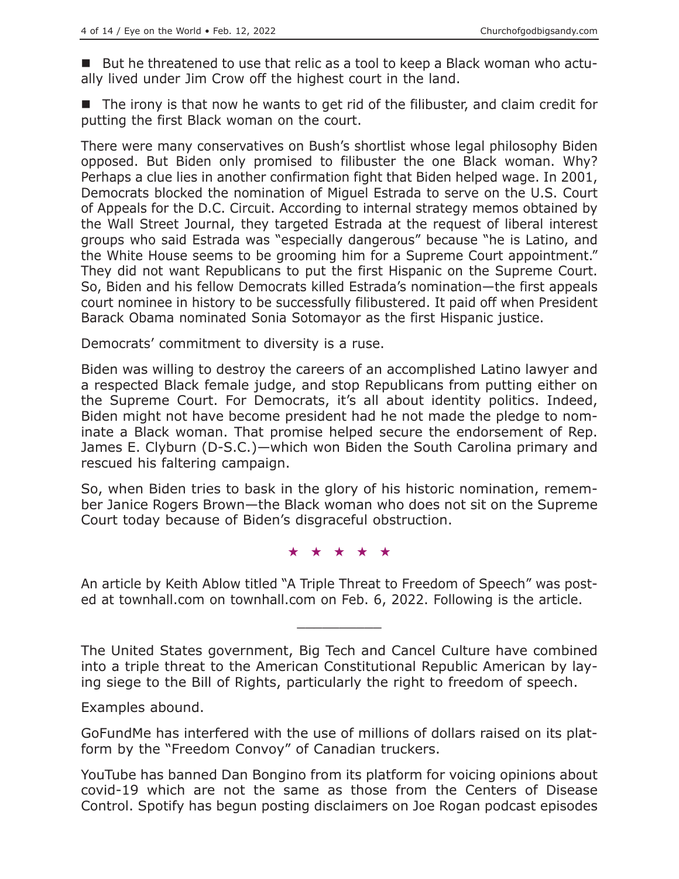But he threatened to use that relic as a tool to keep a Black woman who actually lived under Jim Crow off the highest court in the land.

■ The irony is that now he wants to get rid of the filibuster, and claim credit for putting the first Black woman on the court.

There were many conservatives on Bush's shortlist whose legal philosophy Biden opposed. But Biden only promised to filibuster the one Black woman. Why? Perhaps a clue lies in another confirmation fight that Biden helped wage. In 2001, Democrats blocked the nomination of Miguel Estrada to serve on the U.S. Court of Appeals for the D.C. Circuit. According to internal strategy memos obtained by the Wall Street Journal, they targeted Estrada at the request of liberal interest groups who said Estrada was "especially dangerous" because "he is Latino, and the White House seems to be grooming him for a Supreme Court appointment." They did not want Republicans to put the first Hispanic on the Supreme Court. So, Biden and his fellow Democrats killed Estrada's nomination—the first appeals court nominee in history to be successfully filibustered. It paid off when President Barack Obama nominated Sonia Sotomayor as the first Hispanic justice.

Democrats' commitment to diversity is a ruse.

Biden was willing to destroy the careers of an accomplished Latino lawyer and a respected Black female judge, and stop Republicans from putting either on the Supreme Court. For Democrats, it's all about identity politics. Indeed, Biden might not have become president had he not made the pledge to nominate a Black woman. That promise helped secure the endorsement of Rep. James E. Clyburn (D-S.C.)—which won Biden the South Carolina primary and rescued his faltering campaign.

So, when Biden tries to bask in the glory of his historic nomination, remember Janice Rogers Brown—the Black woman who does not sit on the Supreme Court today because of Biden's disgraceful obstruction.

★★★★★

An article by Keith Ablow titled "A Triple Threat to Freedom of Speech" was posted at townhall.com on townhall.com on Feb. 6, 2022. Following is the article.

 $\overline{\phantom{a}}$  , where  $\overline{\phantom{a}}$ 

The United States government, Big Tech and Cancel Culture have combined into a triple threat to the American Constitutional Republic American by laying siege to the Bill of Rights, particularly the right to freedom of speech.

Examples abound.

GoFundMe has interfered with the use of millions of dollars raised on its platform by the "Freedom Convoy" of Canadian truckers.

YouTube has banned Dan Bongino from its platform for voicing opinions about covid-19 which are not the same as those from the Centers of Disease Control. Spotify has begun posting disclaimers on Joe Rogan podcast episodes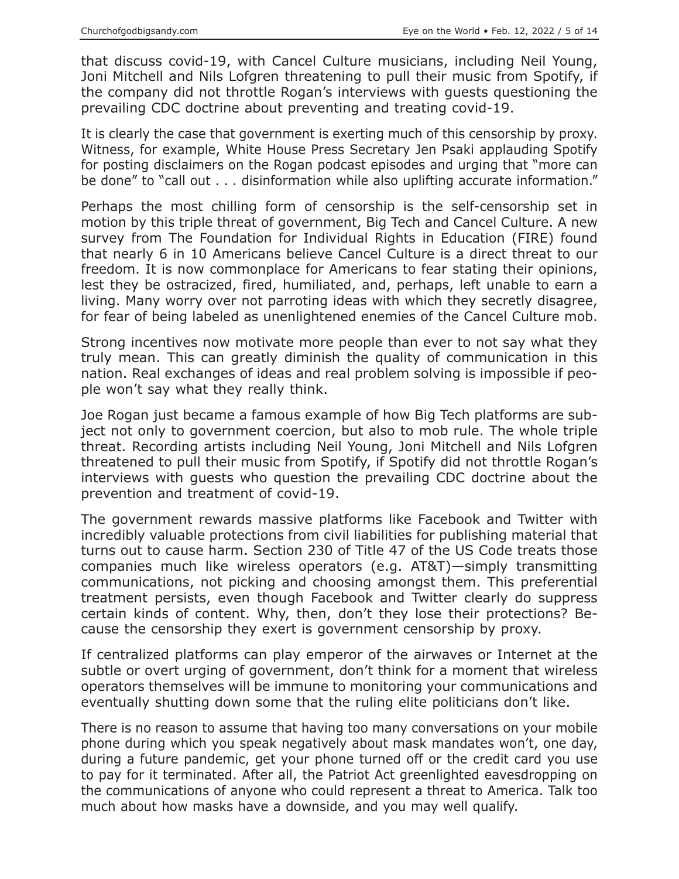that discuss covid-19, with Cancel Culture musicians, including Neil Young, Joni Mitchell and Nils Lofgren threatening to pull their music from Spotify, if the company did not throttle Rogan's interviews with guests questioning the prevailing CDC doctrine about preventing and treating covid-19.

It is clearly the case that government is exerting much of this censorship by proxy. Witness, for example, White House Press Secretary Jen Psaki applauding Spotify for posting disclaimers on the Rogan podcast episodes and urging that "more can be done" to "call out . . . disinformation while also uplifting accurate information."

Perhaps the most chilling form of censorship is the self-censorship set in motion by this triple threat of government, Big Tech and Cancel Culture. A new survey from The Foundation for Individual Rights in Education (FIRE) found that nearly 6 in 10 Americans believe Cancel Culture is a direct threat to our freedom. It is now commonplace for Americans to fear stating their opinions, lest they be ostracized, fired, humiliated, and, perhaps, left unable to earn a living. Many worry over not parroting ideas with which they secretly disagree, for fear of being labeled as unenlightened enemies of the Cancel Culture mob.

Strong incentives now motivate more people than ever to not say what they truly mean. This can greatly diminish the quality of communication in this nation. Real exchanges of ideas and real problem solving is impossible if people won't say what they really think.

Joe Rogan just became a famous example of how Big Tech platforms are subject not only to government coercion, but also to mob rule. The whole triple threat. Recording artists including Neil Young, Joni Mitchell and Nils Lofgren threatened to pull their music from Spotify, if Spotify did not throttle Rogan's interviews with guests who question the prevailing CDC doctrine about the prevention and treatment of covid-19.

The government rewards massive platforms like Facebook and Twitter with incredibly valuable protections from civil liabilities for publishing material that turns out to cause harm. Section 230 of Title 47 of the US Code treats those companies much like wireless operators (e.g. AT&T)—simply transmitting communications, not picking and choosing amongst them. This preferential treatment persists, even though Facebook and Twitter clearly do suppress certain kinds of content. Why, then, don't they lose their protections? Because the censorship they exert is government censorship by proxy.

If centralized platforms can play emperor of the airwaves or Internet at the subtle or overt urging of government, don't think for a moment that wireless operators themselves will be immune to monitoring your communications and eventually shutting down some that the ruling elite politicians don't like.

There is no reason to assume that having too many conversations on your mobile phone during which you speak negatively about mask mandates won't, one day, during a future pandemic, get your phone turned off or the credit card you use to pay for it terminated. After all, the Patriot Act greenlighted eavesdropping on the communications of anyone who could represent a threat to America. Talk too much about how masks have a downside, and you may well qualify.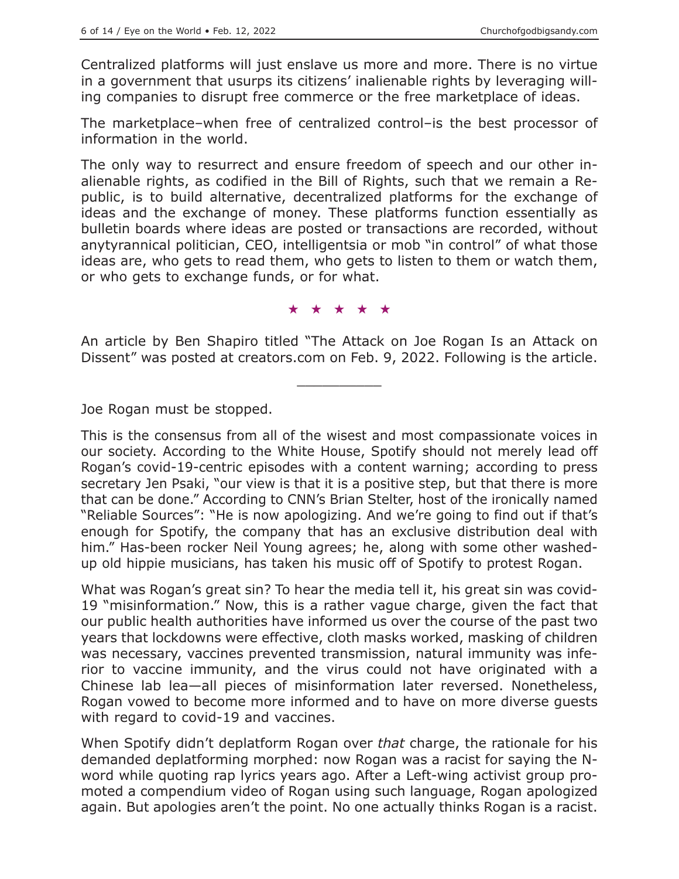Centralized platforms will just enslave us more and more. There is no virtue in a government that usurps its citizens' inalienable rights by leveraging willing companies to disrupt free commerce or the free marketplace of ideas.

The marketplace–when free of centralized control–is the best processor of information in the world.

The only way to resurrect and ensure freedom of speech and our other inalienable rights, as codified in the Bill of Rights, such that we remain a Republic, is to build alternative, decentralized platforms for the exchange of ideas and the exchange of money. These platforms function essentially as bulletin boards where ideas are posted or transactions are recorded, without anytyrannical politician, CEO, intelligentsia or mob "in control" of what those ideas are, who gets to read them, who gets to listen to them or watch them, or who gets to exchange funds, or for what.

#### ★★★★★

An article by Ben Shapiro titled "The Attack on Joe Rogan Is an Attack on Dissent" was posted at creators.com on Feb. 9, 2022. Following is the article.

 $\overline{\phantom{a}}$  , where  $\overline{\phantom{a}}$ 

Joe Rogan must be stopped.

This is the consensus from all of the wisest and most compassionate voices in our society. According to the White House, Spotify should not merely lead off Rogan's covid-19-centric episodes with a content warning; according to press secretary Jen Psaki, "our view is that it is a positive step, but that there is more that can be done." According to CNN's Brian Stelter, host of the ironically named "Reliable Sources": "He is now apologizing. And we're going to find out if that's enough for Spotify, the company that has an exclusive distribution deal with him." Has-been rocker Neil Young agrees; he, along with some other washedup old hippie musicians, has taken his music off of Spotify to protest Rogan.

What was Rogan's great sin? To hear the media tell it, his great sin was covid-19 "misinformation." Now, this is a rather vague charge, given the fact that our public health authorities have informed us over the course of the past two years that lockdowns were effective, cloth masks worked, masking of children was necessary, vaccines prevented transmission, natural immunity was inferior to vaccine immunity, and the virus could not have originated with a Chinese lab lea—all pieces of misinformation later reversed. Nonetheless, Rogan vowed to become more informed and to have on more diverse guests with regard to covid-19 and vaccines.

When Spotify didn't deplatform Rogan over *that* charge, the rationale for his demanded deplatforming morphed: now Rogan was a racist for saying the Nword while quoting rap lyrics years ago. After a Left-wing activist group promoted a compendium video of Rogan using such language, Rogan apologized again. But apologies aren't the point. No one actually thinks Rogan is a racist.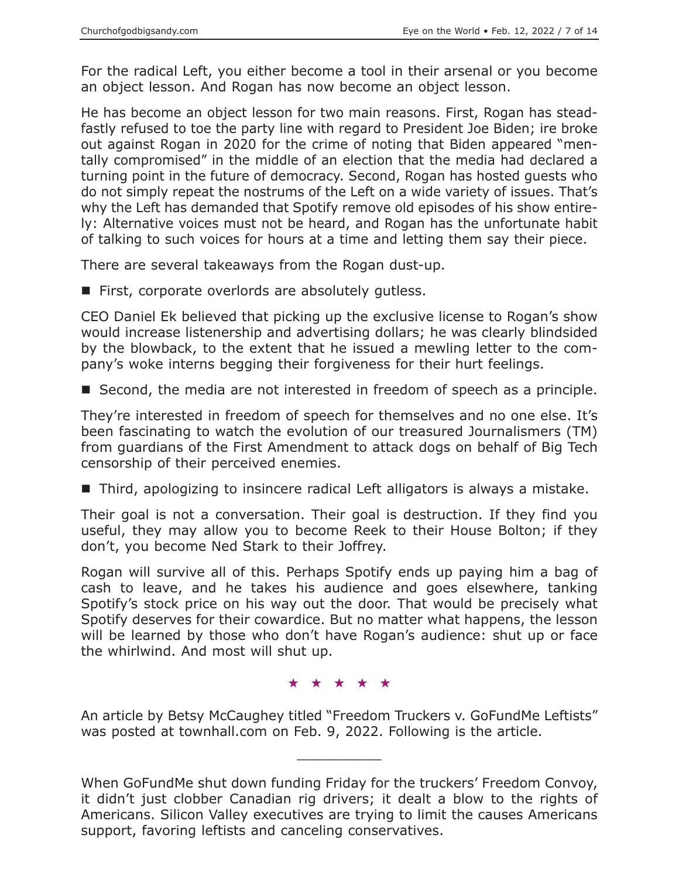For the radical Left, you either become a tool in their arsenal or you become an object lesson. And Rogan has now become an object lesson.

He has become an object lesson for two main reasons. First, Rogan has steadfastly refused to toe the party line with regard to President Joe Biden; ire broke out against Rogan in 2020 for the crime of noting that Biden appeared "mentally compromised" in the middle of an election that the media had declared a turning point in the future of democracy. Second, Rogan has hosted guests who do not simply repeat the nostrums of the Left on a wide variety of issues. That's why the Left has demanded that Spotify remove old episodes of his show entirely: Alternative voices must not be heard, and Rogan has the unfortunate habit of talking to such voices for hours at a time and letting them say their piece.

There are several takeaways from the Rogan dust-up.

First, corporate overlords are absolutely gutless.

CEO Daniel Ek believed that picking up the exclusive license to Rogan's show would increase listenership and advertising dollars; he was clearly blindsided by the blowback, to the extent that he issued a mewling letter to the company's woke interns begging their forgiveness for their hurt feelings.

Second, the media are not interested in freedom of speech as a principle.

They're interested in freedom of speech for themselves and no one else. It's been fascinating to watch the evolution of our treasured Journalismers (TM) from guardians of the First Amendment to attack dogs on behalf of Big Tech censorship of their perceived enemies.

■ Third, apologizing to insincere radical Left alligators is always a mistake.

Their goal is not a conversation. Their goal is destruction. If they find you useful, they may allow you to become Reek to their House Bolton; if they don't, you become Ned Stark to their Joffrey.

Rogan will survive all of this. Perhaps Spotify ends up paying him a bag of cash to leave, and he takes his audience and goes elsewhere, tanking Spotify's stock price on his way out the door. That would be precisely what Spotify deserves for their cowardice. But no matter what happens, the lesson will be learned by those who don't have Rogan's audience: shut up or face the whirlwind. And most will shut up.

★★★★★

An article by Betsy McCaughey titled "Freedom Truckers v. GoFundMe Leftists" was posted at townhall.com on Feb. 9, 2022. Following is the article.

 $\overline{\phantom{a}}$  , where  $\overline{\phantom{a}}$ 

When GoFundMe shut down funding Friday for the truckers' Freedom Convoy, it didn't just clobber Canadian rig drivers; it dealt a blow to the rights of Americans. Silicon Valley executives are trying to limit the causes Americans support, favoring leftists and canceling conservatives.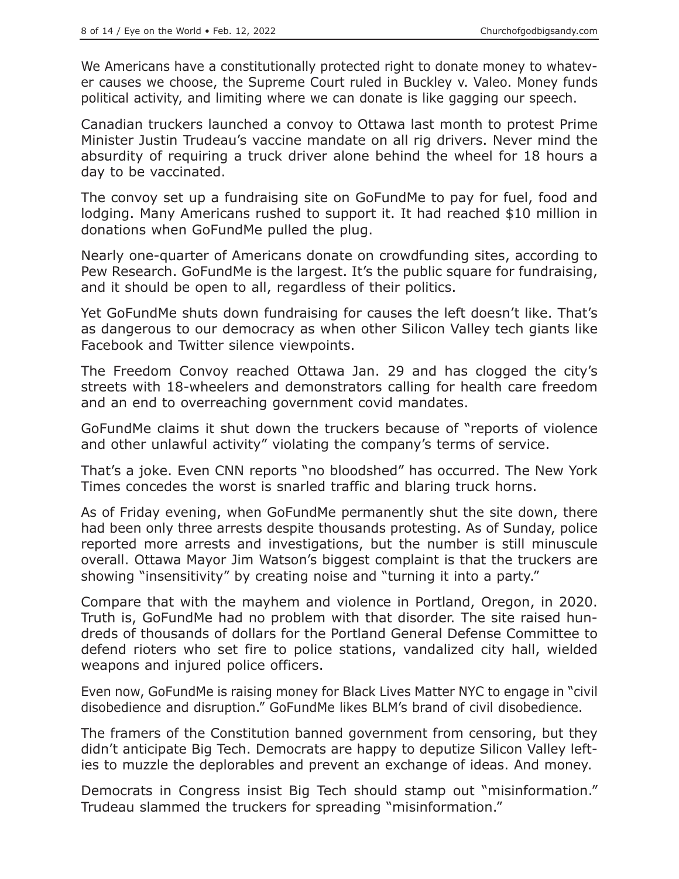We Americans have a constitutionally protected right to donate money to whatever causes we choose, the Supreme Court ruled in Buckley v. Valeo. Money funds political activity, and limiting where we can donate is like gagging our speech.

Canadian truckers launched a convoy to Ottawa last month to protest Prime Minister Justin Trudeau's vaccine mandate on all rig drivers. Never mind the absurdity of requiring a truck driver alone behind the wheel for 18 hours a day to be vaccinated.

The convoy set up a fundraising site on GoFundMe to pay for fuel, food and lodging. Many Americans rushed to support it. It had reached \$10 million in donations when GoFundMe pulled the plug.

Nearly one-quarter of Americans donate on crowdfunding sites, according to Pew Research. GoFundMe is the largest. It's the public square for fundraising, and it should be open to all, regardless of their politics.

Yet GoFundMe shuts down fundraising for causes the left doesn't like. That's as dangerous to our democracy as when other Silicon Valley tech giants like Facebook and Twitter silence viewpoints.

The Freedom Convoy reached Ottawa Jan. 29 and has clogged the city's streets with 18-wheelers and demonstrators calling for health care freedom and an end to overreaching government covid mandates.

GoFundMe claims it shut down the truckers because of "reports of violence and other unlawful activity" violating the company's terms of service.

That's a joke. Even CNN reports "no bloodshed" has occurred. The New York Times concedes the worst is snarled traffic and blaring truck horns.

As of Friday evening, when GoFundMe permanently shut the site down, there had been only three arrests despite thousands protesting. As of Sunday, police reported more arrests and investigations, but the number is still minuscule overall. Ottawa Mayor Jim Watson's biggest complaint is that the truckers are showing "insensitivity" by creating noise and "turning it into a party."

Compare that with the mayhem and violence in Portland, Oregon, in 2020. Truth is, GoFundMe had no problem with that disorder. The site raised hundreds of thousands of dollars for the Portland General Defense Committee to defend rioters who set fire to police stations, vandalized city hall, wielded weapons and injured police officers.

Even now, GoFundMe is raising money for Black Lives Matter NYC to engage in "civil disobedience and disruption." GoFundMe likes BLM's brand of civil disobedience.

The framers of the Constitution banned government from censoring, but they didn't anticipate Big Tech. Democrats are happy to deputize Silicon Valley lefties to muzzle the deplorables and prevent an exchange of ideas. And money.

Democrats in Congress insist Big Tech should stamp out "misinformation." Trudeau slammed the truckers for spreading "misinformation."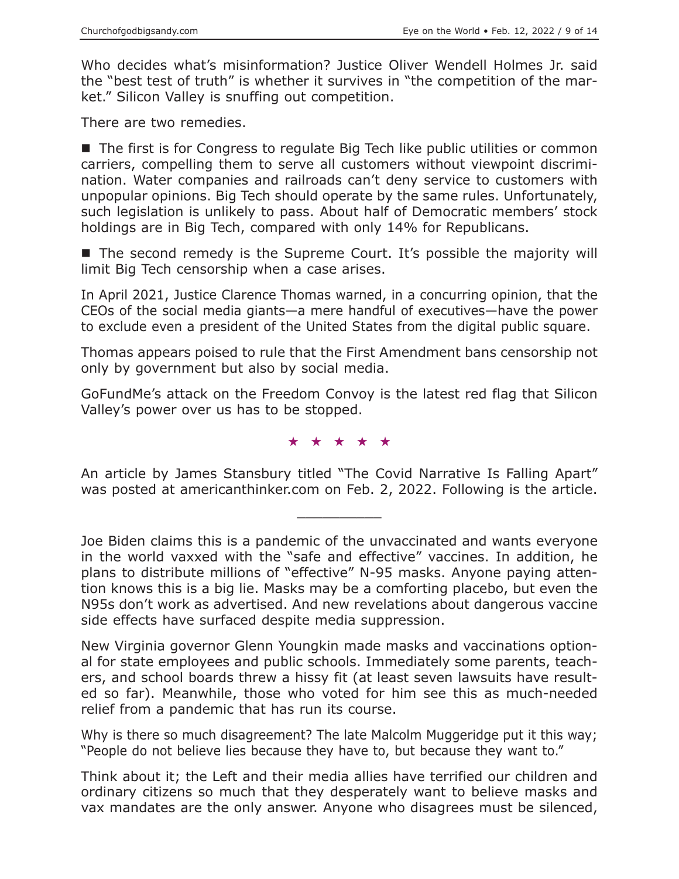Who decides what's misinformation? Justice Oliver Wendell Holmes Jr. said the "best test of truth" is whether it survives in "the competition of the market." Silicon Valley is snuffing out competition.

There are two remedies.

■ The first is for Congress to regulate Big Tech like public utilities or common carriers, compelling them to serve all customers without viewpoint discrimination. Water companies and railroads can't deny service to customers with unpopular opinions. Big Tech should operate by the same rules. Unfortunately, such legislation is unlikely to pass. About half of Democratic members' stock holdings are in Big Tech, compared with only 14% for Republicans.

■ The second remedy is the Supreme Court. It's possible the majority will limit Big Tech censorship when a case arises.

In April 2021, Justice Clarence Thomas warned, in a concurring opinion, that the CEOs of the social media giants—a mere handful of executives—have the power to exclude even a president of the United States from the digital public square.

Thomas appears poised to rule that the First Amendment bans censorship not only by government but also by social media.

GoFundMe's attack on the Freedom Convoy is the latest red flag that Silicon Valley's power over us has to be stopped.

★★★★★

An article by James Stansbury titled "The Covid Narrative Is Falling Apart" was posted at americanthinker.com on Feb. 2, 2022. Following is the article.

 $\overline{\phantom{a}}$  , where  $\overline{\phantom{a}}$ 

Joe Biden claims this is a pandemic of the unvaccinated and wants everyone in the world vaxxed with the "safe and effective" vaccines. In addition, he plans to distribute millions of "effective" N-95 masks. Anyone paying attention knows this is a big lie. Masks may be a comforting placebo, but even the N95s don't work as advertised. And new revelations about dangerous vaccine side effects have surfaced despite media suppression.

New Virginia governor Glenn Youngkin made masks and vaccinations optional for state employees and public schools. Immediately some parents, teachers, and school boards threw a hissy fit (at least seven lawsuits have resulted so far). Meanwhile, those who voted for him see this as much-needed relief from a pandemic that has run its course.

Why is there so much disagreement? The late Malcolm Muggeridge put it this way; "People do not believe lies because they have to, but because they want to."

Think about it; the Left and their media allies have terrified our children and ordinary citizens so much that they desperately want to believe masks and vax mandates are the only answer. Anyone who disagrees must be silenced,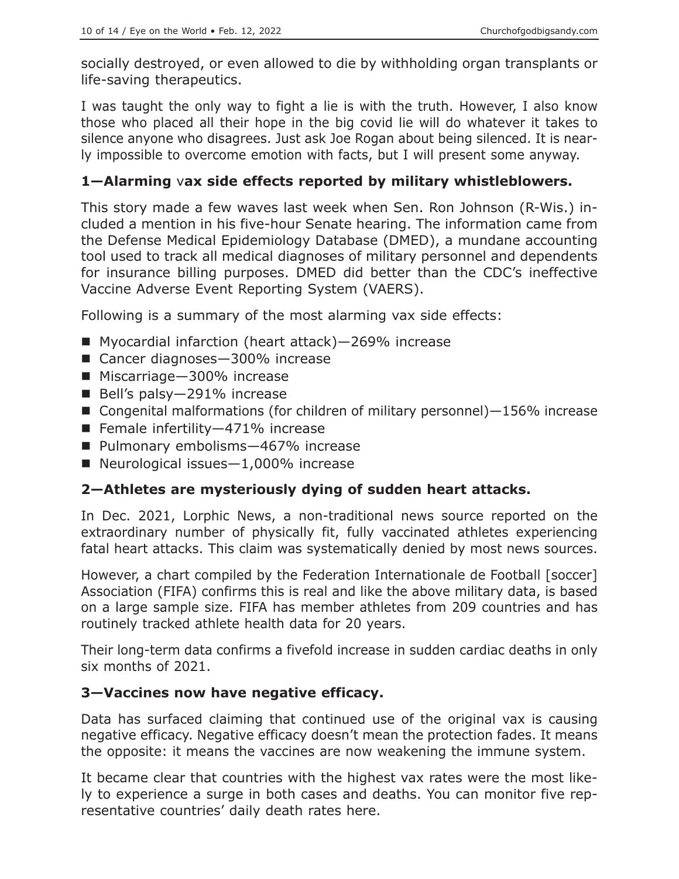socially destroyed, or even allowed to die by withholding organ transplants or life-saving therapeutics.

I was taught the only way to fight a lie is with the truth. However, I also know those who placed all their hope in the big covid lie will do whatever it takes to silence anyone who disagrees. Just ask Joe Rogan about being silenced. It is nearly impossible to overcome emotion with facts, but I will present some anyway.

# **1—Alarming** v**ax side effects reported by military whistleblowers.**

This story made a few waves last week when Sen. Ron Johnson (R-Wis.) included a mention in his five-hour Senate hearing. The information came from the Defense Medical Epidemiology Database (DMED), a mundane accounting tool used to track all medical diagnoses of military personnel and dependents for insurance billing purposes. DMED did better than the CDC's ineffective Vaccine Adverse Event Reporting System (VAERS).

Following is a summary of the most alarming vax side effects:

- Myocardial infarction (heart attack)–269% increase
- Cancer diagnoses-300% increase
- Miscarriage—300% increase
- Bell's palsy-291% increase
- Congenital malformations (for children of military personnel)–156% increase
- Female infertility-471% increase
- Pulmonary embolisms-467% increase
- Neurological issues $-1,000\%$  increase

# **2—Athletes are mysteriously dying of sudden heart attacks.**

In Dec. 2021, Lorphic News, a non-traditional news source reported on the extraordinary number of physically fit, fully vaccinated athletes experiencing fatal heart attacks. This claim was systematically denied by most news sources.

However, a chart compiled by the Federation Internationale de Football [soccer] Association (FIFA) confirms this is real and like the above military data, is based on a large sample size. FIFA has member athletes from 209 countries and has routinely tracked athlete health data for 20 years.

Their long-term data confirms a fivefold increase in sudden cardiac deaths in only six months of 2021.

# **3—Vaccines now have negative efficacy.**

Data has surfaced claiming that continued use of the original vax is causing negative efficacy. Negative efficacy doesn't mean the protection fades. It means the opposite: it means the vaccines are now weakening the immune system.

It became clear that countries with the highest vax rates were the most likely to experience a surge in both cases and deaths. You can monitor five representative countries' daily death rates here.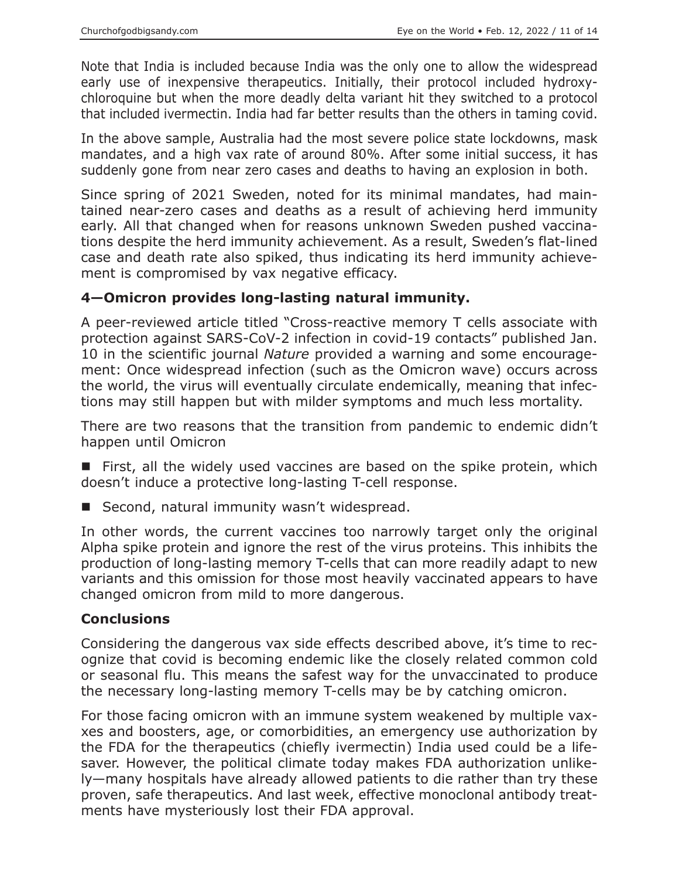Note that India is included because India was the only one to allow the widespread early use of inexpensive therapeutics. Initially, their protocol included hydroxychloroquine but when the more deadly delta variant hit they switched to a protocol that included ivermectin. India had far better results than the others in taming covid.

In the above sample, Australia had the most severe police state lockdowns, mask mandates, and a high vax rate of around 80%. After some initial success, it has suddenly gone from near zero cases and deaths to having an explosion in both.

Since spring of 2021 Sweden, noted for its minimal mandates, had maintained near-zero cases and deaths as a result of achieving herd immunity early. All that changed when for reasons unknown Sweden pushed vaccinations despite the herd immunity achievement. As a result, Sweden's flat-lined case and death rate also spiked, thus indicating its herd immunity achievement is compromised by vax negative efficacy.

# **4—Omicron provides long-lasting natural immunity.**

A peer-reviewed article titled "Cross-reactive memory T cells associate with protection against SARS-CoV-2 infection in covid-19 contacts" published Jan. 10 in the scientific journal *Nature* provided a warning and some encouragement: Once widespread infection (such as the Omicron wave) occurs across the world, the virus will eventually circulate endemically, meaning that infections may still happen but with milder symptoms and much less mortality.

There are two reasons that the transition from pandemic to endemic didn't happen until Omicron

First, all the widely used vaccines are based on the spike protein, which doesn't induce a protective long-lasting T-cell response.

Second, natural immunity wasn't widespread.

In other words, the current vaccines too narrowly target only the original Alpha spike protein and ignore the rest of the virus proteins. This inhibits the production of long-lasting memory T-cells that can more readily adapt to new variants and this omission for those most heavily vaccinated appears to have changed omicron from mild to more dangerous.

# **Conclusions**

Considering the dangerous vax side effects described above, it's time to recognize that covid is becoming endemic like the closely related common cold or seasonal flu. This means the safest way for the unvaccinated to produce the necessary long-lasting memory T-cells may be by catching omicron.

For those facing omicron with an immune system weakened by multiple vaxxes and boosters, age, or comorbidities, an emergency use authorization by the FDA for the therapeutics (chiefly ivermectin) India used could be a lifesaver. However, the political climate today makes FDA authorization unlikely—many hospitals have already allowed patients to die rather than try these proven, safe therapeutics. And last week, effective monoclonal antibody treatments have mysteriously lost their FDA approval.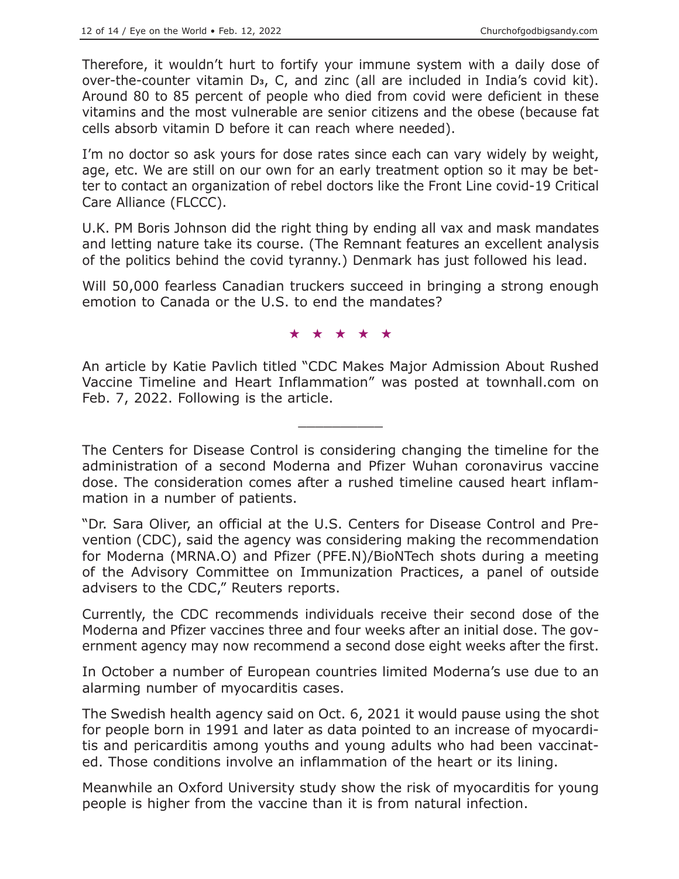Therefore, it wouldn't hurt to fortify your immune system with a daily dose of over-the-counter vitamin D**3**, C, and zinc (all are included in India's covid kit). Around 80 to 85 percent of people who died from covid were deficient in these vitamins and the most vulnerable are senior citizens and the obese (because fat cells absorb vitamin D before it can reach where needed).

I'm no doctor so ask yours for dose rates since each can vary widely by weight, age, etc. We are still on our own for an early treatment option so it may be better to contact an organization of rebel doctors like the Front Line covid-19 Critical Care Alliance (FLCCC).

U.K. PM Boris Johnson did the right thing by ending all vax and mask mandates and letting nature take its course. (The Remnant features an excellent analysis of the politics behind the covid tyranny.) Denmark has just followed his lead.

Will 50,000 fearless Canadian truckers succeed in bringing a strong enough emotion to Canada or the U.S. to end the mandates?

★★★★★

An article by Katie Pavlich titled "CDC Makes Major Admission About Rushed Vaccine Timeline and Heart Inflammation" was posted at townhall.com on Feb. 7, 2022. Following is the article.

 $\overline{\phantom{a}}$  , where  $\overline{\phantom{a}}$ 

The Centers for Disease Control is considering changing the timeline for the administration of a second Moderna and Pfizer Wuhan coronavirus vaccine dose. The consideration comes after a rushed timeline caused heart inflammation in a number of patients.

"Dr. Sara Oliver, an official at the U.S. Centers for Disease Control and Prevention (CDC), said the agency was considering making the recommendation for Moderna (MRNA.O) and Pfizer (PFE.N)/BioNTech shots during a meeting of the Advisory Committee on Immunization Practices, a panel of outside advisers to the CDC," Reuters reports.

Currently, the CDC recommends individuals receive their second dose of the Moderna and Pfizer vaccines three and four weeks after an initial dose. The government agency may now recommend a second dose eight weeks after the first.

In October a number of European countries limited Moderna's use due to an alarming number of myocarditis cases.

The Swedish health agency said on Oct. 6, 2021 it would pause using the shot for people born in 1991 and later as data pointed to an increase of myocarditis and pericarditis among youths and young adults who had been vaccinated. Those conditions involve an inflammation of the heart or its lining.

Meanwhile an Oxford University study show the risk of myocarditis for young people is higher from the vaccine than it is from natural infection.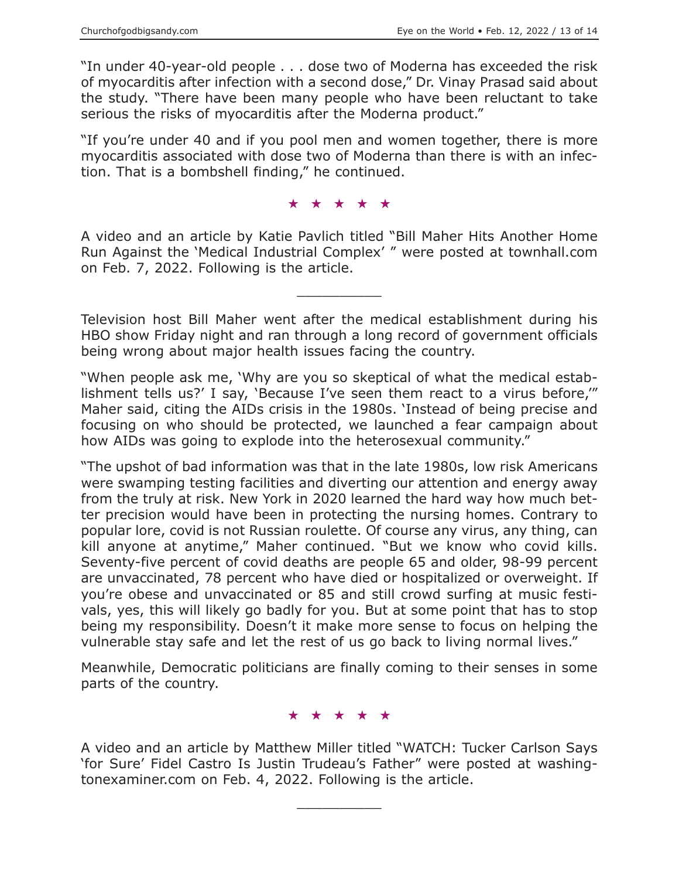"In under 40-year-old people . . . dose two of Moderna has exceeded the risk of myocarditis after infection with a second dose," Dr. Vinay Prasad said about the study. "There have been many people who have been reluctant to take serious the risks of myocarditis after the Moderna product."

"If you're under 40 and if you pool men and women together, there is more myocarditis associated with dose two of Moderna than there is with an infection. That is a bombshell finding," he continued.

★★★★★

A video and an article by Katie Pavlich titled "Bill Maher Hits Another Home Run Against the 'Medical Industrial Complex' " were posted at townhall.com on Feb. 7, 2022. Following is the article.

 $\overline{\phantom{a}}$  , where  $\overline{\phantom{a}}$ 

Television host Bill Maher went after the medical establishment during his HBO show Friday night and ran through a long record of government officials being wrong about major health issues facing the country.

"When people ask me, 'Why are you so skeptical of what the medical establishment tells us?' I say, 'Because I've seen them react to a virus before,'" Maher said, citing the AIDs crisis in the 1980s. 'Instead of being precise and focusing on who should be protected, we launched a fear campaign about how AIDs was going to explode into the heterosexual community."

"The upshot of bad information was that in the late 1980s, low risk Americans were swamping testing facilities and diverting our attention and energy away from the truly at risk. New York in 2020 learned the hard way how much better precision would have been in protecting the nursing homes. Contrary to popular lore, covid is not Russian roulette. Of course any virus, any thing, can kill anyone at anytime," Maher continued. "But we know who covid kills. Seventy-five percent of covid deaths are people 65 and older, 98-99 percent are unvaccinated, 78 percent who have died or hospitalized or overweight. If you're obese and unvaccinated or 85 and still crowd surfing at music festivals, yes, this will likely go badly for you. But at some point that has to stop being my responsibility. Doesn't it make more sense to focus on helping the vulnerable stay safe and let the rest of us go back to living normal lives."

Meanwhile, Democratic politicians are finally coming to their senses in some parts of the country.

★★★★★

A video and an article by Matthew Miller titled "WATCH: Tucker Carlson Says 'for Sure' Fidel Castro Is Justin Trudeau's Father" were posted at washingtonexaminer.com on Feb. 4, 2022. Following is the article.

 $\overline{\phantom{a}}$  , where  $\overline{\phantom{a}}$